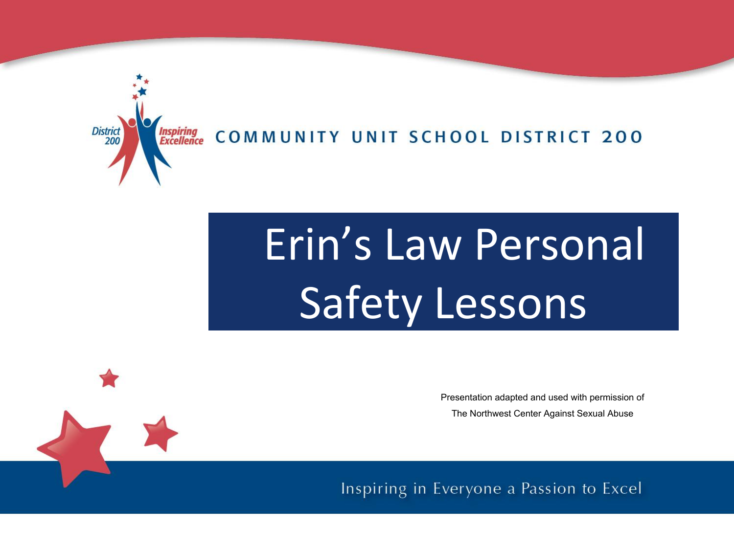

COMMUNITY UNIT SCHOOL DISTRICT 200

# Erin's Law Personal Safety Lessons

Presentation adapted and used with permission of The Northwest Center Against Sexual Abuse

Inspiring in Everyone a Passion to Excel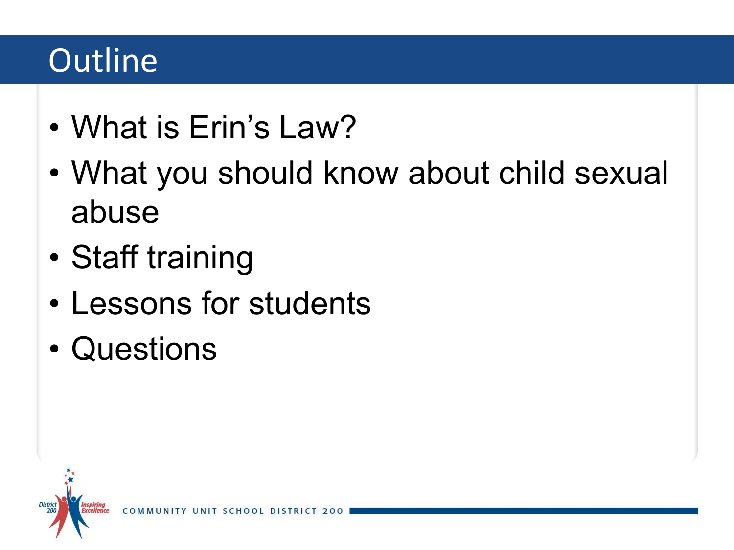# **Outline**

- What is Erin's Law?
- What you should know about child sexual abuse
- Staff training
- Lessons for students
- Questions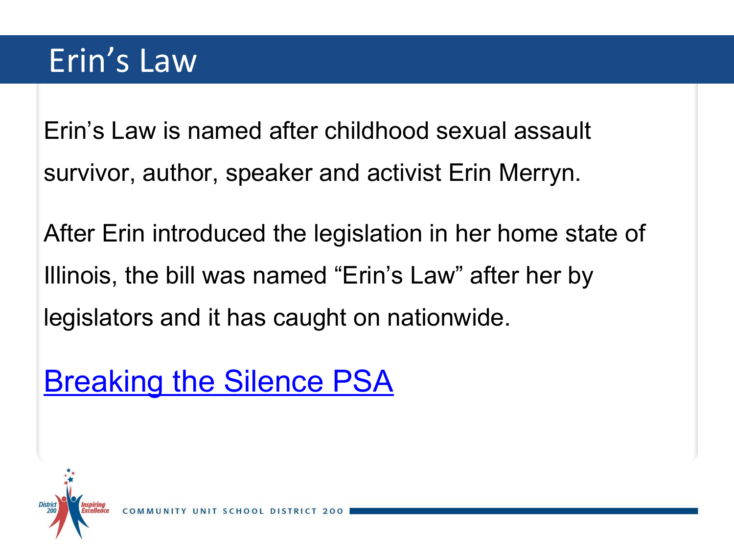# Erin's Law

Erin's Law is named after childhood sexual assault survivor, author, speaker and activist Erin Merryn.

After Erin introduced the legislation in her home state of Illinois, the bill was named "Erin's Law" after her by legislators and it has caught on nationwide.

[Breaking the Silence PSA](https://youtu.be/vcISu0q4qUA)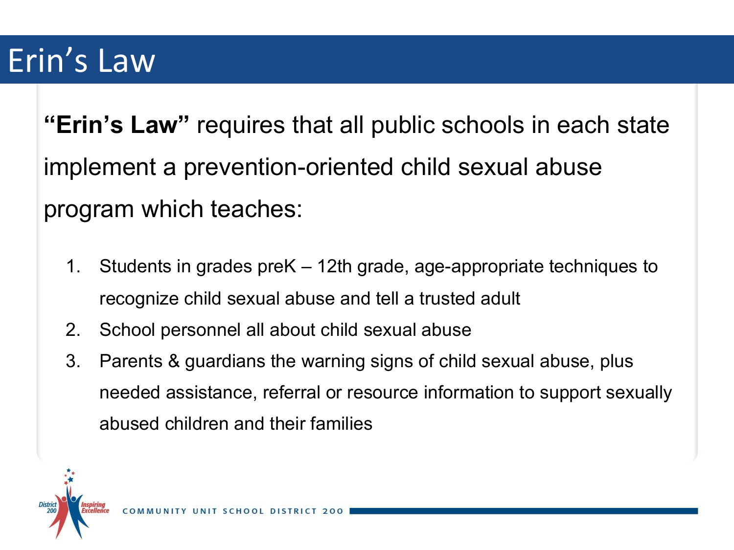## Erin's Law

**"Erin's Law"** requires that all public schools in each state implement a prevention-oriented child sexual abuse program which teaches:

- 1. Students in grades preK 12th grade, age-appropriate techniques to recognize child sexual abuse and tell a trusted adult
- 2. School personnel all about child sexual abuse
- 3. Parents & guardians the warning signs of child sexual abuse, plus needed assistance, referral or resource information to support sexually abused children and their families

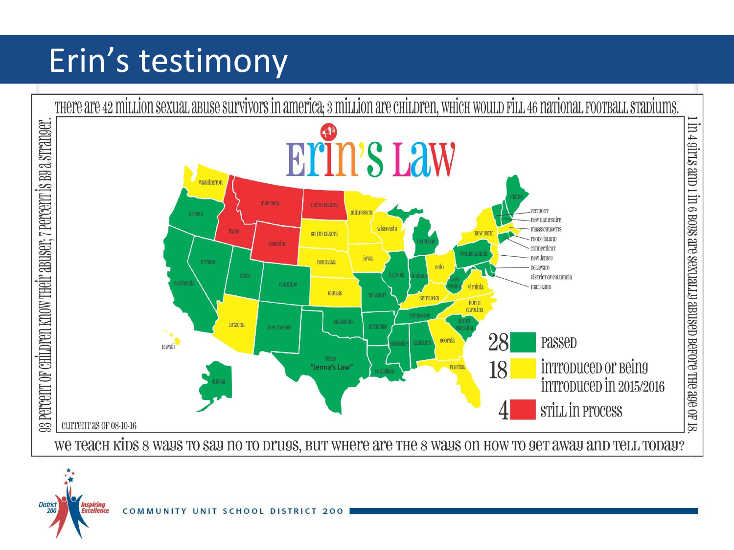# Erin's testimony



District

Inspiring<br>Excellence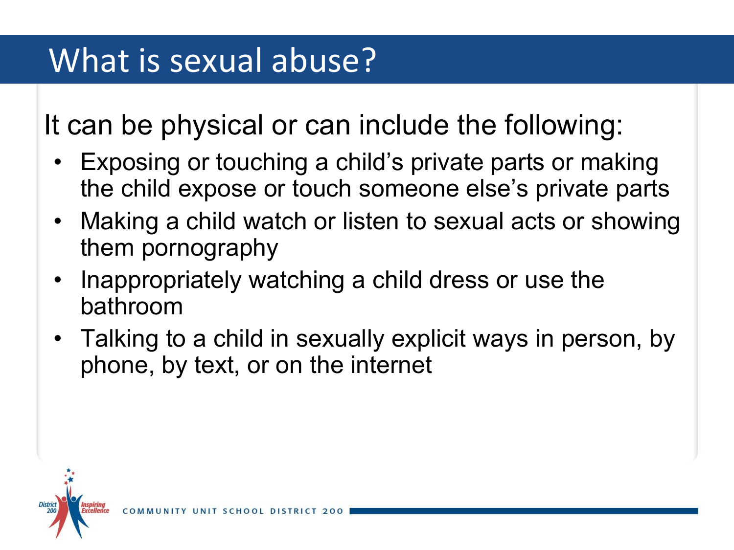It can be physical or can include the following:

- Exposing or touching a child's private parts or making the child expose or touch someone else's private parts
- Making a child watch or listen to sexual acts or showing them pornography
- Inappropriately watching a child dress or use the bathroom
- Talking to a child in sexually explicit ways in person, by phone, by text, or on the internet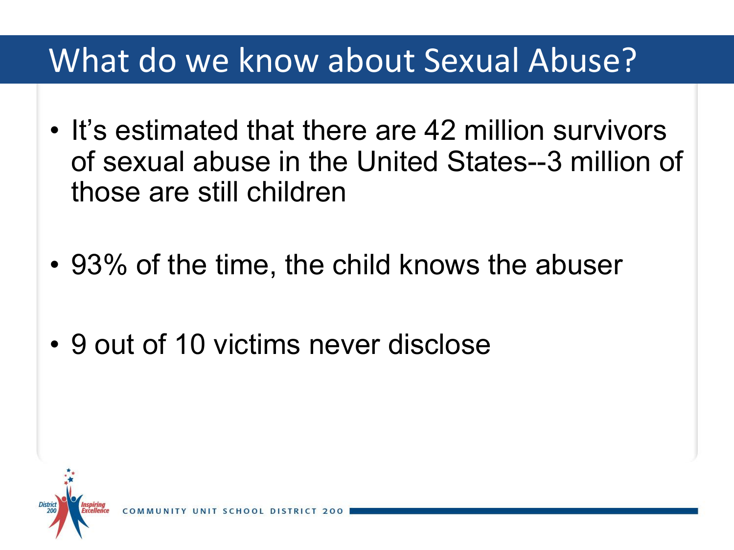#### What do we know about Sexual Abuse?

- It's estimated that there are 42 million survivors of sexual abuse in the United States--3 million of those are still children
- 93% of the time, the child knows the abuser
- 9 out of 10 victims never disclose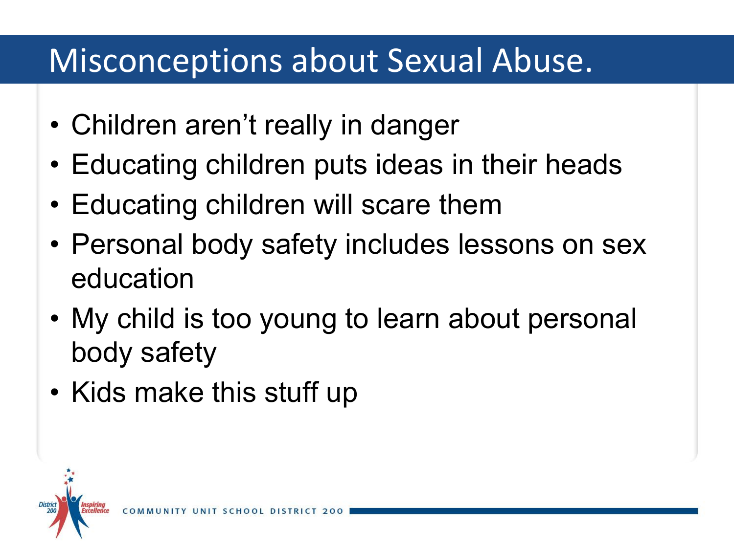#### Misconceptions about Sexual Abuse.

- Children aren't really in danger
- Educating children puts ideas in their heads
- Educating children will scare them
- Personal body safety includes lessons on sex education
- My child is too young to learn about personal body safety
- Kids make this stuff up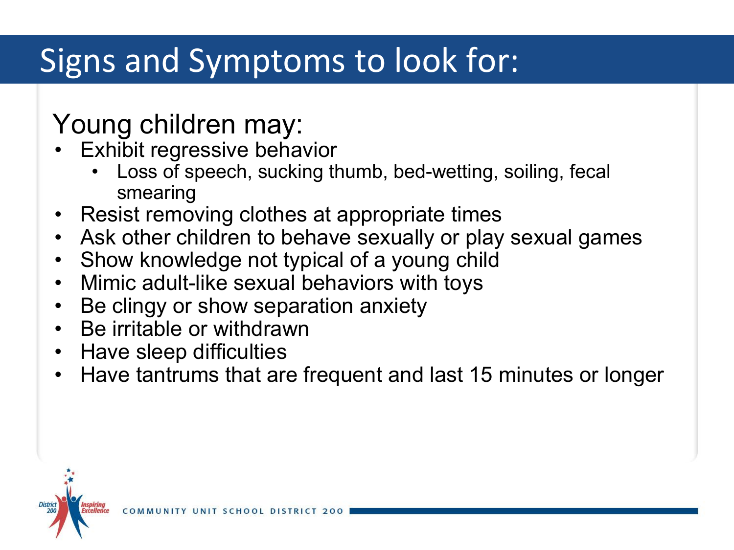# Signs and Symptoms to look for:

#### Young children may:

- **Exhibit regressive behavior** 
	- Loss of speech, sucking thumb, bed-wetting, soiling, fecal smearing
- Resist removing clothes at appropriate times
- Ask other children to behave sexually or play sexual games
- Show knowledge not typical of a young child
- Mimic adult-like sexual behaviors with toys
- Be clingy or show separation anxiety
- Be irritable or withdrawn
- Have sleep difficulties
- Have tantrums that are frequent and last 15 minutes or longer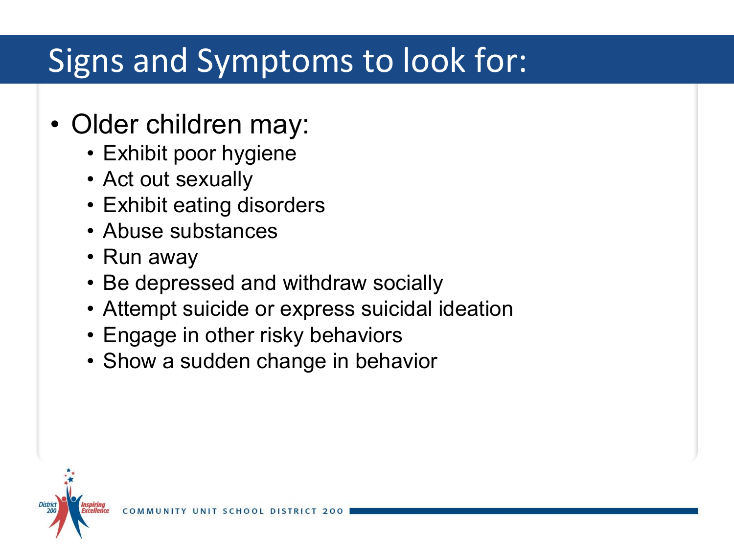# Signs and Symptoms to look for:

- Older children may:
	- Exhibit poor hygiene
	- Act out sexually
	- Exhibit eating disorders
	- Abuse substances
	- Run away
	- Be depressed and withdraw socially
	- Attempt suicide or express suicidal ideation
	- Engage in other risky behaviors
	- Show a sudden change in behavior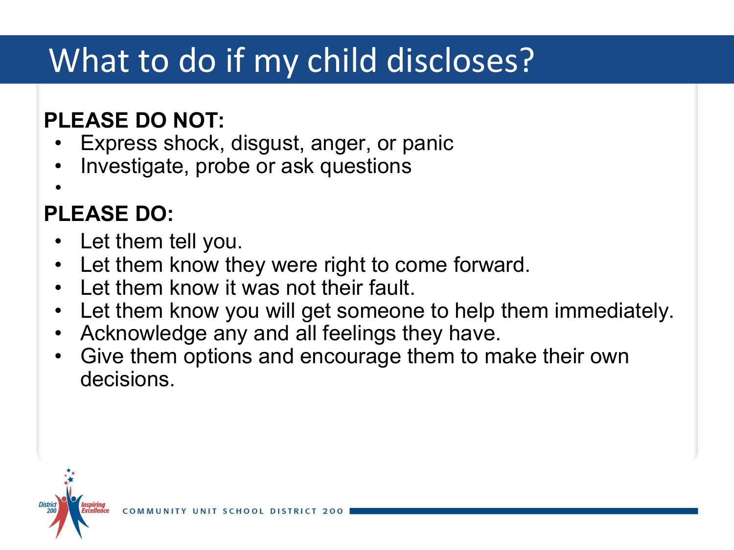# What to do if my child discloses?

#### **PLEASE DO NOT:**

- Express shock, disgust, anger, or panic
- Investigate, probe or ask questions
- •

#### **PLEASE DO:**

- Let them tell you.
- Let them know they were right to come forward.
- Let them know it was not their fault.
- Let them know you will get someone to help them immediately.
- Acknowledge any and all feelings they have.
- Give them options and encourage them to make their own decisions.

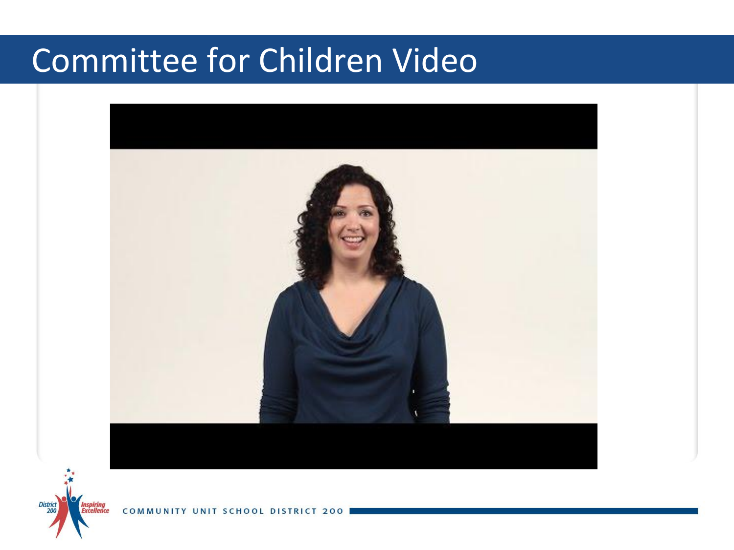# Committee for Children Video



COM

District<br>200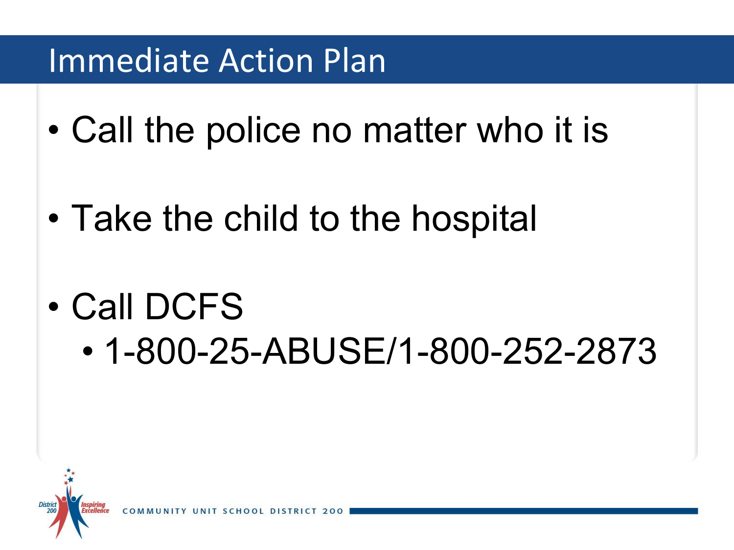#### Immediate Action Plan

- Call the police no matter who it is
- Take the child to the hospital
- Call DCFS
	- 1-800-25-ABUSE/1-800-252-2873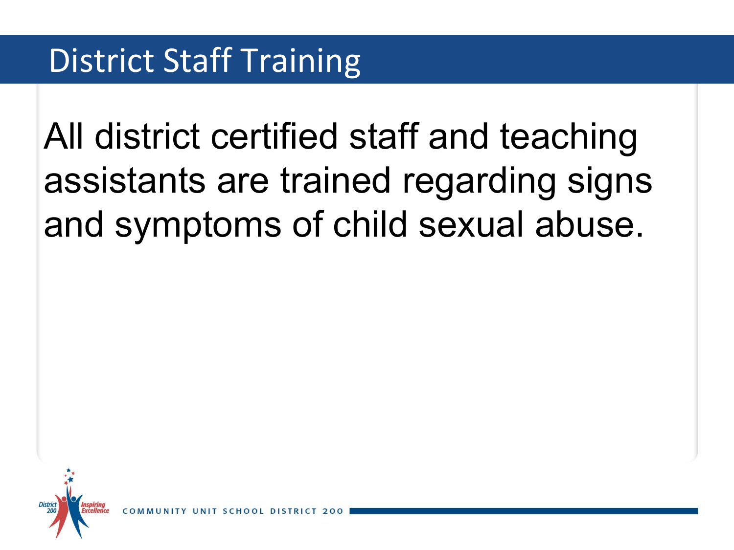# All district certified staff and teaching assistants are trained regarding signs and symptoms of child sexual abuse.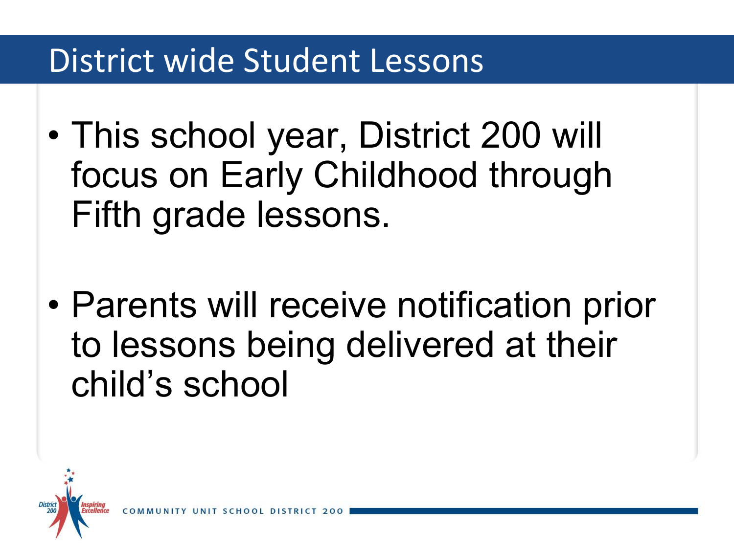#### District wide Student Lessons

- This school year, District 200 will focus on Early Childhood through Fifth grade lessons.
- Parents will receive notification prior to lessons being delivered at their child's school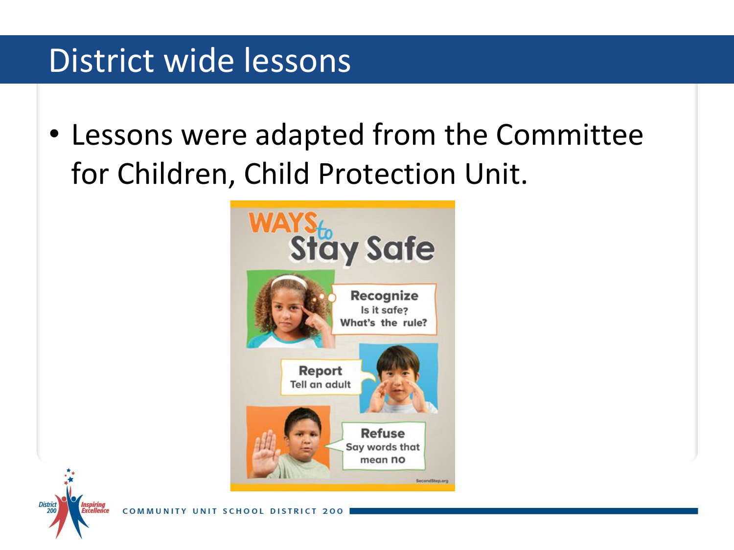#### District wide lessons

• Lessons were adapted from the Committee for Children, Child Protection Unit.



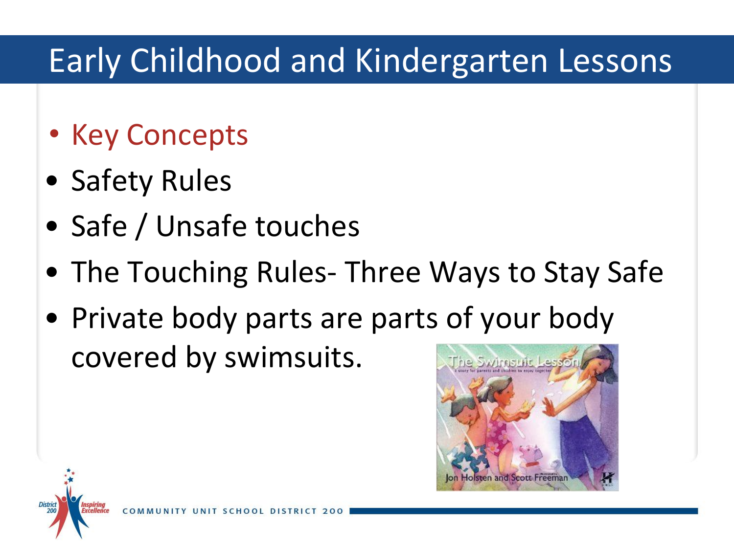# Early Childhood and Kindergarten Lessons

- Key Concepts
- Safety Rules
- Safe / Unsafe touches
- The Touching Rules- Three Ways to Stay Safe
- Private body parts are parts of your body covered by swimsuits.The Swimsuit Les

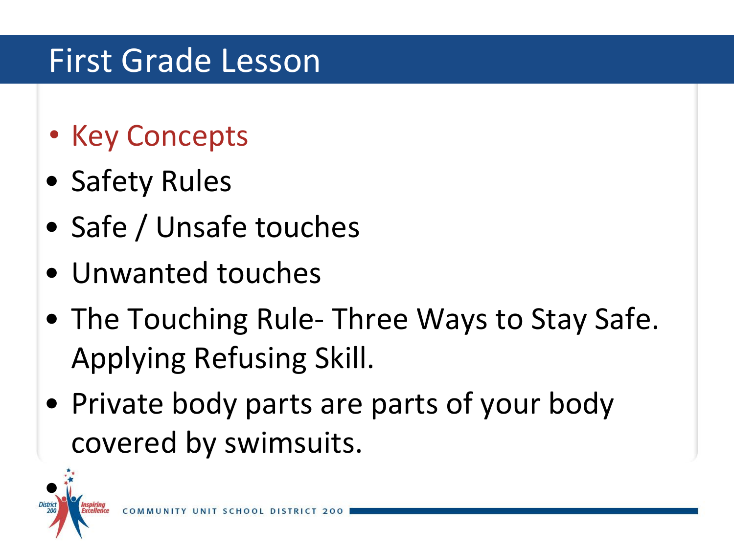# First Grade Lesson

- Key Concepts
- Safety Rules
- Safe / Unsafe touches
- Unwanted touches
- The Touching Rule- Three Ways to Stay Safe. Applying Refusing Skill.
- Private body parts are parts of your body covered by swimsuits.

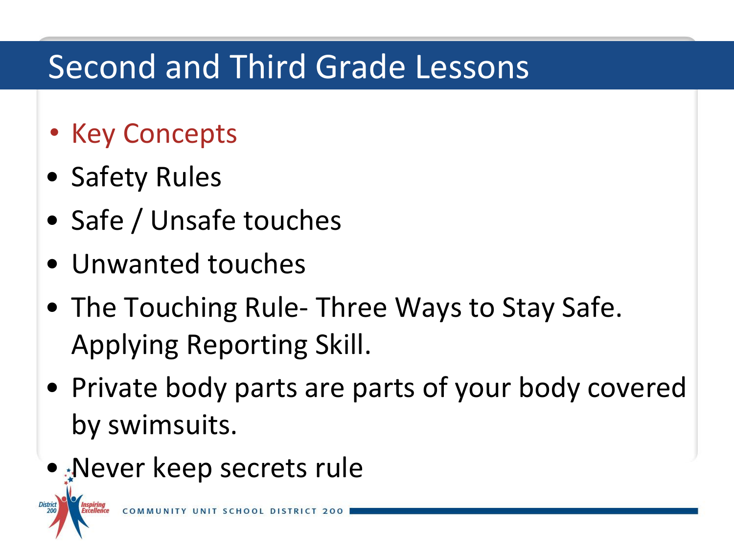# Second and Third Grade Lessons

- Key Concepts
- Safety Rules

District<br>200

- Safe / Unsafe touches
- Unwanted touches
- The Touching Rule- Three Ways to Stay Safe. Applying Reporting Skill.
- Private body parts are parts of your body covered by swimsuits.
- Never keep secrets rule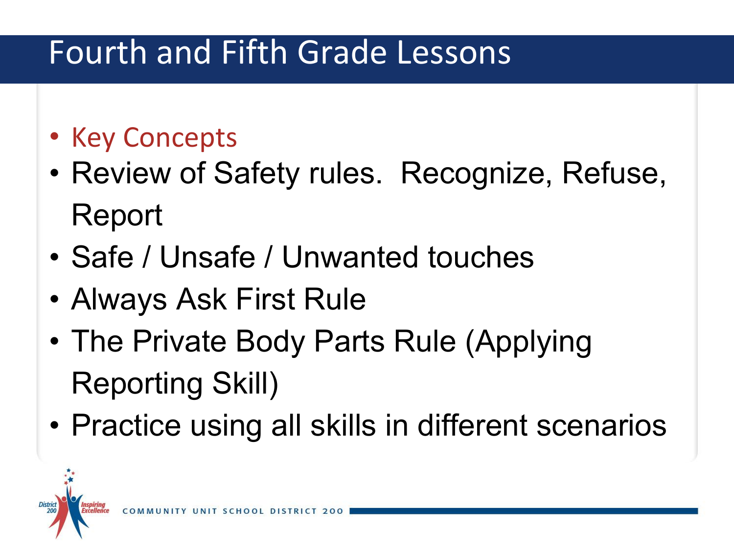# Fourth and Fifth Grade Lessons

- Key Concepts
- Review of Safety rules. Recognize, Refuse, Report
- Safe / Unsafe / Unwanted touches
- Always Ask First Rule
- The Private Body Parts Rule (Applying Reporting Skill)
- Practice using all skills in different scenarios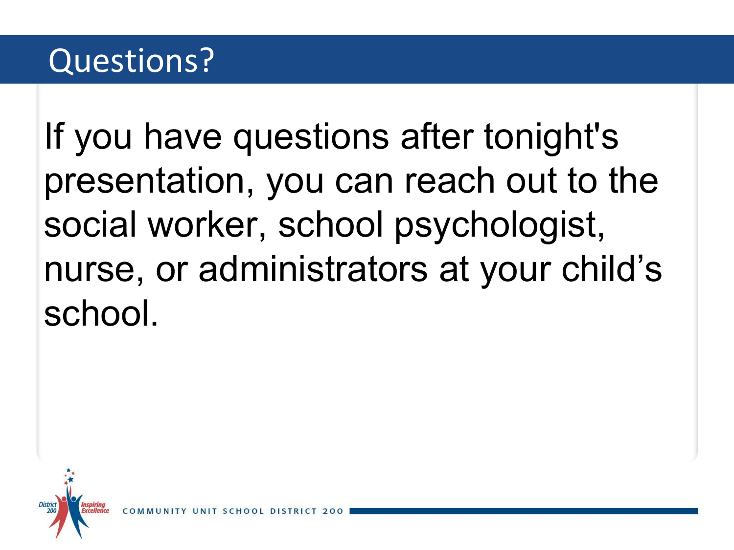# Questions?

If you have questions after tonight's presentation, you can reach out to the social worker, school psychologist, nurse, or administrators at your child's school.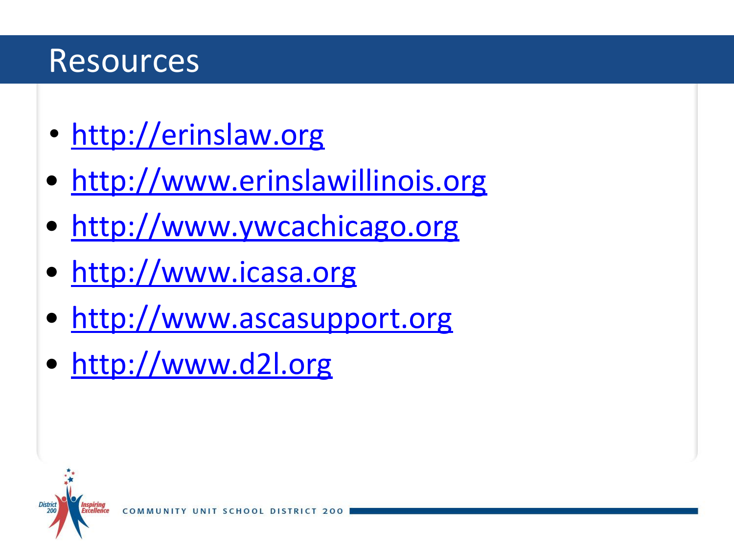#### Resources

**District** 200

- <http://erinslaw.org>
- <http://www.erinslawillinois.org>
- [http://www.ywcachicago.org](http://www.ywcachicago.org/site/c.fmJWKcOZJkI6G/b.8243023/k.58E0/Sexual_Violence__Support_Services.htm)
- [http://www.icasa.org](http://www.icasa.org/)
- [http://www.ascasupport.org](http://www.ascasupport.org/)
- [http://www.d2l.org](http://www.d2l.org/site/c.4dICIJOkGcISE/b.6035035/k.8258/Prevent_Child_Sexual_Abuse.htm#.VV4U8LlVgSU)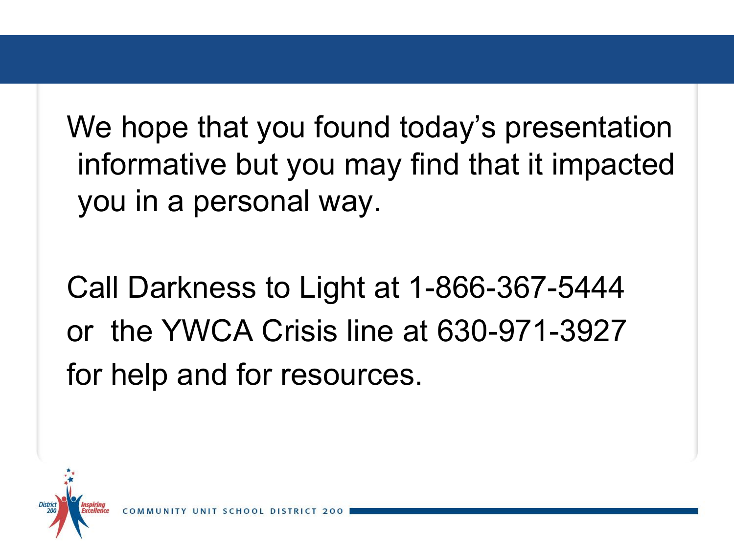We hope that you found today's presentation informative but you may find that it impacted you in a personal way.

Call Darkness to Light at 1-866-367-5444 or the YWCA Crisis line at 630-971-3927 for help and for resources.